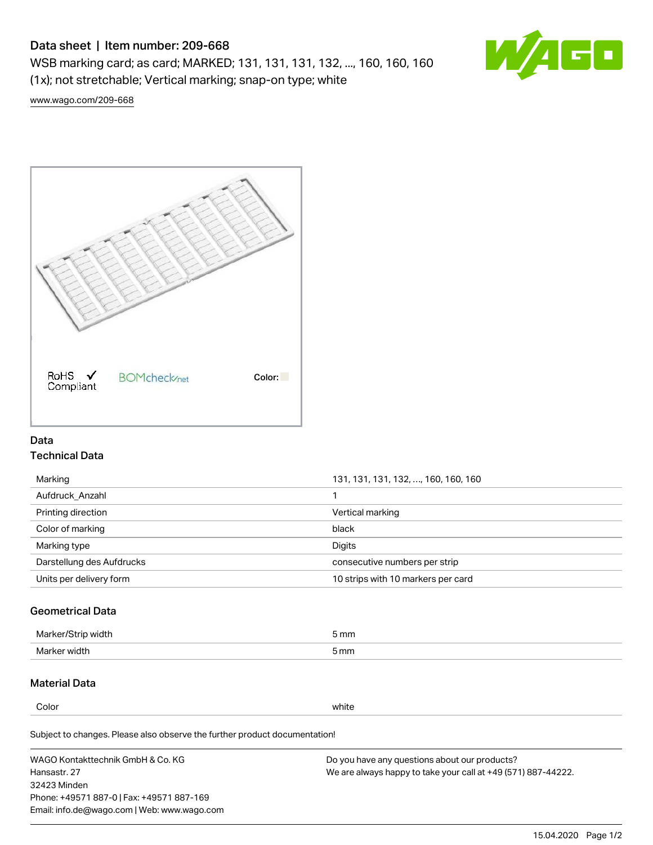# Data sheet | Item number: 209-668

WSB marking card; as card; MARKED; 131, 131, 131, 132, ..., 160, 160, 160 (1x); not stretchable; Vertical marking; snap-on type; white



[www.wago.com/209-668](http://www.wago.com/209-668)



# Data Technical Data

| 131, 131, 131, 132, , 160, 160, 160 |
|-------------------------------------|
|                                     |
| Vertical marking                    |
| black                               |
| Digits                              |
| consecutive numbers per strip       |
| 10 strips with 10 markers per card  |
|                                     |

# Geometrical Data

| طلقاء ئ<br><b>Marker</b><br>widtr | ັກmm |
|-----------------------------------|------|
| Marker width                      | 5 mm |

# Material Data

Color white

Subject to changes. Please also observe the further product documentation!

WAGO Kontakttechnik GmbH & Co. KG Hansastr. 27 32423 Minden Phone: +49571 887-0 | Fax: +49571 887-169 Email: info.de@wago.com | Web: www.wago.com Do you have any questions about our products? We are always happy to take your call at +49 (571) 887-44222.